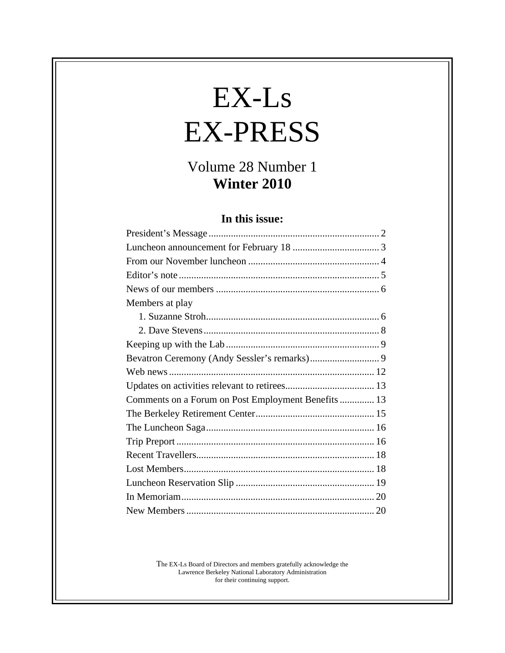# $EX-Ls$ EX-PRESS

## Volume 28 Number 1<br>Winter 2010 **Winter 2010**

## **In this issue:**

| Members at play                                     |  |
|-----------------------------------------------------|--|
|                                                     |  |
|                                                     |  |
|                                                     |  |
|                                                     |  |
|                                                     |  |
|                                                     |  |
| Comments on a Forum on Post Employment Benefits  13 |  |
|                                                     |  |
|                                                     |  |
|                                                     |  |
|                                                     |  |
|                                                     |  |
|                                                     |  |
|                                                     |  |
|                                                     |  |

The EX-Ls Board of Directors and members gratefully acknowledge the Lawrence Berkeley National Laboratory Administration for their continuing support.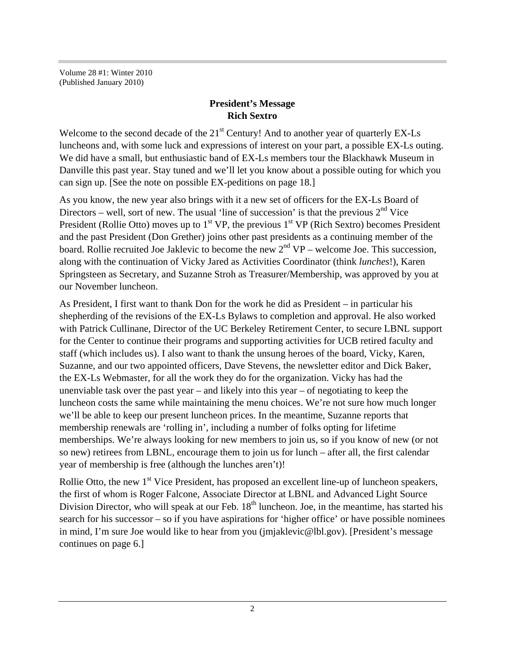Volume 28 #1: Winter 2010 (Published January 2010)

## **President's Message Rich Sextro**

Welcome to the second decade of the 21<sup>st</sup> Century! And to another year of quarterly EX-Ls luncheons and, with some luck and expressions of interest on your part, a possible EX-Ls outing. We did have a small, but enthusiastic band of EX-Ls members tour the Blackhawk Museum in Danville this past year. Stay tuned and we'll let you know about a possible outing for which you can sign up. [See the note on possible EX-peditions on page 18.]

As you know, the new year also brings with it a new set of officers for the EX-Ls Board of Directors – well, sort of new. The usual 'line of succession' is that the previous  $2<sup>nd</sup>$  Vice President (Rollie Otto) moves up to  $1<sup>st</sup> VP$ , the previous  $1<sup>st</sup> VP$  (Rich Sextro) becomes President and the past President (Don Grether) joins other past presidents as a continuing member of the board. Rollie recruited Joe Jaklevic to become the new  $2<sup>nd</sup> VP -$  welcome Joe. This succession, along with the continuation of Vicky Jared as Activities Coordinator (think *lunches*!), Karen Springsteen as Secretary, and Suzanne Stroh as Treasurer/Membership, was approved by you at our November luncheon.

As President, I first want to thank Don for the work he did as President – in particular his shepherding of the revisions of the EX-Ls Bylaws to completion and approval. He also worked with Patrick Cullinane, Director of the UC Berkeley Retirement Center, to secure LBNL support for the Center to continue their programs and supporting activities for UCB retired faculty and staff (which includes us). I also want to thank the unsung heroes of the board, Vicky, Karen, Suzanne, and our two appointed officers, Dave Stevens, the newsletter editor and Dick Baker, the EX-Ls Webmaster, for all the work they do for the organization. Vicky has had the unenviable task over the past year – and likely into this year – of negotiating to keep the luncheon costs the same while maintaining the menu choices. We're not sure how much longer we'll be able to keep our present luncheon prices. In the meantime, Suzanne reports that membership renewals are 'rolling in', including a number of folks opting for lifetime memberships. We're always looking for new members to join us, so if you know of new (or not so new) retirees from LBNL, encourage them to join us for lunch – after all, the first calendar year of membership is free (although the lunches aren't)!

Rollie Otto, the new  $1<sup>st</sup>$  Vice President, has proposed an excellent line-up of luncheon speakers, the first of whom is Roger Falcone, Associate Director at LBNL and Advanced Light Source Division Director, who will speak at our Feb.  $18<sup>th</sup>$  luncheon. Joe, in the meantime, has started his search for his successor – so if you have aspirations for 'higher office' or have possible nominees in mind, I'm sure Joe would like to hear from you (jmjaklevic@lbl.gov). [President's message continues on page 6.]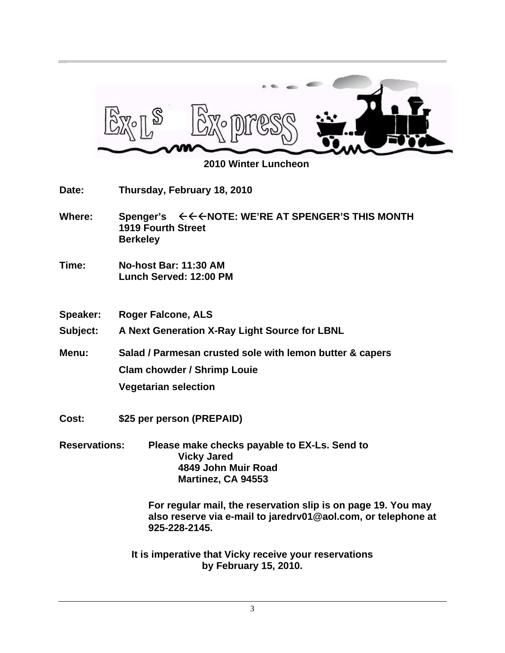

 **2010 Winter Luncheon**

**Date: Thursday, February 18, 2010**

- Where: Spenger's  $\leftarrow \leftarrow \leftarrow \text{NOTE}$ : WE'RE AT SPENGER'S THIS MONTH **1919 Fourth Street Berkeley**
- **Time: No-host Bar: 11:30 AM Lunch Served: 12:00 PM**
- **Speaker: Roger Falcone, ALS**

**Subject: A Next Generation X-Ray Light Source for LBNL**

**Menu: Salad / Parmesan crusted sole with lemon butter & capers Clam chowder / Shrimp Louie Vegetarian selection** 

- **Cost: \$25 per person (PREPAID)**
- **Reservations: Please make checks payable to EX-Ls. Send to Vicky Jared 4849 John Muir Road Martinez, CA 94553**

**For regular mail, the reservation slip is on page 19. You may also reserve via e-mail to jaredrv01@aol.com, or telephone at 925-228-2145.**

**It is imperative that Vicky receive your reservations by February 15, 2010.**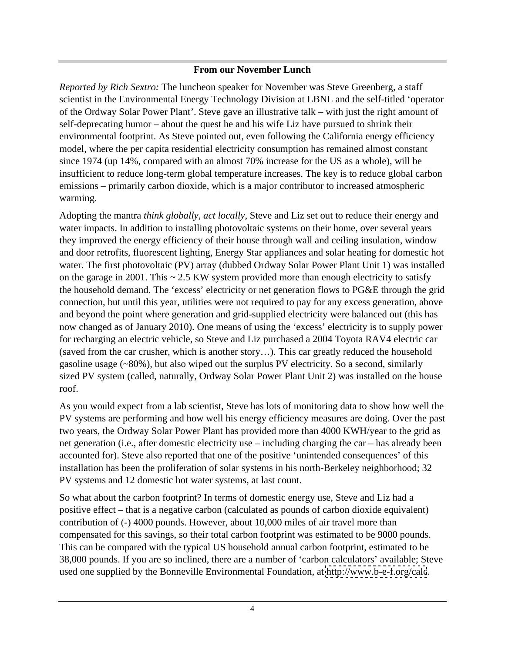#### **From our November Lunch**

*Reported by Rich Sextro:* The luncheon speaker for November was Steve Greenberg, a staff scientist in the Environmental Energy Technology Division at LBNL and the self-titled 'operator of the Ordway Solar Power Plant'. Steve gave an illustrative talk – with just the right amount of self-deprecating humor – about the quest he and his wife Liz have pursued to shrink their environmental footprint. As Steve pointed out, even following the California energy efficiency model, where the per capita residential electricity consumption has remained almost constant since 1974 (up 14%, compared with an almost 70% increase for the US as a whole), will be insufficient to reduce long-term global temperature increases. The key is to reduce global carbon emissions – primarily carbon dioxide, which is a major contributor to increased atmospheric warming.

Adopting the mantra *think globally, act locally*, Steve and Liz set out to reduce their energy and water impacts. In addition to installing photovoltaic systems on their home, over several years they improved the energy efficiency of their house through wall and ceiling insulation, window and door retrofits, fluorescent lighting, Energy Star appliances and solar heating for domestic hot water. The first photovoltaic (PV) array (dubbed Ordway Solar Power Plant Unit 1) was installed on the garage in 2001. This  $\sim 2.5$  KW system provided more than enough electricity to satisfy the household demand. The 'excess' electricity or net generation flows to PG&E through the grid connection, but until this year, utilities were not required to pay for any excess generation, above and beyond the point where generation and grid-supplied electricity were balanced out (this has now changed as of January 2010). One means of using the 'excess' electricity is to supply power for recharging an electric vehicle, so Steve and Liz purchased a 2004 Toyota RAV4 electric car (saved from the car crusher, which is another story…). This car greatly reduced the household gasoline usage (~80%), but also wiped out the surplus PV electricity. So a second, similarly sized PV system (called, naturally, Ordway Solar Power Plant Unit 2) was installed on the house roof.

As you would expect from a lab scientist, Steve has lots of monitoring data to show how well the PV systems are performing and how well his energy efficiency measures are doing. Over the past two years, the Ordway Solar Power Plant has provided more than 4000 KWH/year to the grid as net generation (i.e., after domestic electricity use – including charging the car – has already been accounted for). Steve also reported that one of the positive 'unintended consequences' of this installation has been the proliferation of solar systems in his north-Berkeley neighborhood; 32 PV systems and 12 domestic hot water systems, at last count.

So what about the carbon footprint? In terms of domestic energy use, Steve and Liz had a positive effect – that is a negative carbon (calculated as pounds of carbon dioxide equivalent) contribution of (-) 4000 pounds. However, about 10,000 miles of air travel more than compensated for this savings, so their total carbon footprint was estimated to be 9000 pounds. This can be compared with the typical US household annual carbon footprint, estimated to be 38,000 pounds. If you are so inclined, there are a number of 'carbon calculators' available; Steve used one supplied by the Bonneville Environmental Foundation, at<http://www.b-e-f.org/calc>.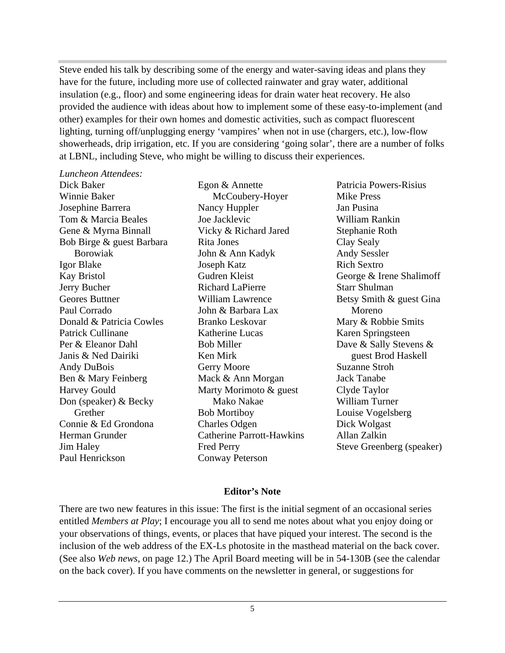Steve ended his talk by describing some of the energy and water-saving ideas and plans they have for the future, including more use of collected rainwater and gray water, additional insulation (e.g., floor) and some engineering ideas for drain water heat recovery. He also provided the audience with ideas about how to implement some of these easy-to-implement (and other) examples for their own homes and domestic activities, such as compact fluorescent lighting, turning off/unplugging energy 'vampires' when not in use (chargers, etc.), low-flow showerheads, drip irrigation, etc. If you are considering 'going solar', there are a number of folks at LBNL, including Steve, who might be willing to discuss their experiences.

#### *Luncheon Attendees:*

Winnie Baker McCoubery-Hoyer Josephine Barrera Tom & Marcia Beales **Tom Beales** Joe Jacklevic **Example 2018** William Rankin Gene & Myrna Binnall **South Access Contact Contact Contact Contact Contact Contact Contact Contact Contact Contact Contact Contact Contact Contact Contact Contact Contact Contact Contact Contact Contact Contact Contact Con** Bob Birge & guest Barbara Rita Jones Clay Sealy Igor Blake **Ioseph Katz** Rich Sextro Kay Bristol Gudren Kleist George & Irene Shalimoff Jerry Bucher Geores Buttner William Lawrence Betsy Smith & guest Gina Paul Corrado Donald & Patricia Cowles Patrick Cullinane **Example Example 2** Katherine Lucas **Example 2 Karen Springsteen** Per & Eleanor Dahl Bob Miller Dave & Sally Stevens & Janis & Ned Dairiki Andy DuBois **Suzanne Strong Contract Contract Contract Contract Contract Contract Contract Contract Contract Contract Contract Contract Contract Contract Contract Contract Contract Contract Contract Contract Contract Contr** Ben & Mary Feinberg Mack & Ann Morgan Jack Tanabe Harvey Gould Marty Morimoto & guest Don (speaker) & Becky Connie & Ed Grondona Herman Grunder Catherine Parrott-Hawkins Jim Haley Fred Perry Steve Greenberg (speaker) Paul Henrickson Conway Peterson

Grether Bob Mortiboy Louise Vogelsberg Conway Peterson

Dick Baker Egon & Annette Borowiak Nancy Huppler **I** Jan Pusina Joe Jacklevic Rita Jones John & Ann Kadyk Joseph Katz Richard LaPierre Starr Shulman John & Barbara Lax Mary & Robbie Smits Katherine Lucas Karen Springsteen Ken Mirk and Supersection and Supersection Series and Haskell Gerry Moore Suzanne Stroh Mack & Ann Morgan **Mack Tanabe** Mako Nakae Bob Mortiboy **Example 1** Louise Vogelsberg Charles Odgen Patricia Powers-Risius Mike Press Jan Pusina William Rankin Stephanie Roth Clay Sealy Andy Sessler Rich Sextro Starr Shulman Moreno **Moreno** and *Moreno* and *Moreno* Mary & Robbie Smits Karen Springsteen guest Brod Haskell Suzanne Stroh Jack Tanabe Clyde Taylor William Turner Louise Vogelsberg Dick Wolgast Allan Zalkin

#### **Editor's Note**

There are two new features in this issue: The first is the initial segment of an occasional series entitled *Members at Play*; I encourage you all to send me notes about what you enjoy doing or your observations of things, events, or places that have piqued your interest. The second is the inclusion of the web address of the EX-Ls photosite in the masthead material on the back cover. (See also *Web news*, on page 12.) The April Board meeting will be in 54-130B (see the calendar on the back cover). If you have comments on the newsletter in general, or suggestions for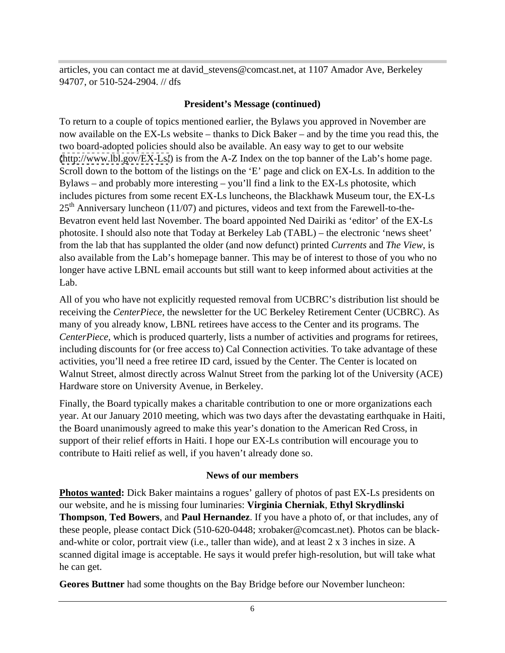articles, you can contact me at david\_stevens@comcast.net, at 1107 Amador Ave, Berkeley 94707, or 510-524-2904. // dfs

#### **President's Message (continued)**

To return to a couple of topics mentioned earlier, the Bylaws you approved in November are now available on the EX-Ls website – thanks to Dick Baker – and by the time you read this, the two board-adopted policies should also be available. An easy way to get to our website [\(http://www.lbl.gov/EX-Ls/](http://www.lbl.gov/EX-Ls/)) is from the A-Z Index on the top banner of the Lab's home page. Scroll down to the bottom of the listings on the 'E' page and click on EX-Ls. In addition to the Bylaws – and probably more interesting – you'll find a link to the EX-Ls photosite, which includes pictures from some recent EX-Ls luncheons, the Blackhawk Museum tour, the EX-Ls  $25<sup>th</sup>$  Anniversary luncheon (11/07) and pictures, videos and text from the Farewell-to-the-Bevatron event held last November. The board appointed Ned Dairiki as 'editor' of the EX-Ls photosite. I should also note that Today at Berkeley Lab (TABL) – the electronic 'news sheet' from the lab that has supplanted the older (and now defunct) printed *Currents* and *The View*, is also available from the Lab's homepage banner. This may be of interest to those of you who no longer have active LBNL email accounts but still want to keep informed about activities at the Lab.

All of you who have not explicitly requested removal from UCBRC's distribution list should be receiving the *CenterPiece*, the newsletter for the UC Berkeley Retirement Center (UCBRC). As many of you already know, LBNL retirees have access to the Center and its programs. The *CenterPiece*, which is produced quarterly, lists a number of activities and programs for retirees, including discounts for (or free access to) Cal Connection activities. To take advantage of these activities, you'll need a free retiree ID card, issued by the Center. The Center is located on Walnut Street, almost directly across Walnut Street from the parking lot of the University (ACE) Hardware store on University Avenue, in Berkeley.

Finally, the Board typically makes a charitable contribution to one or more organizations each year. At our January 2010 meeting, which was two days after the devastating earthquake in Haiti, the Board unanimously agreed to make this year's donation to the American Red Cross, in support of their relief efforts in Haiti. I hope our EX-Ls contribution will encourage you to contribute to Haiti relief as well, if you haven't already done so.

## **News of our members**

**Photos wanted:** Dick Baker maintains a rogues' gallery of photos of past EX-Ls presidents on our website, and he is missing four luminaries: **Virginia Cherniak**, **Ethyl Skrydlinski Thompson**, **Ted Bowers**, and **Paul Hernandez**. If you have a photo of, or that includes, any of these people, please contact Dick (510-620-0448; xrobaker@comcast.net). Photos can be black and-white or color, portrait view (i.e., taller than wide), and at least 2 x 3 inches in size. A scanned digital image is acceptable. He says it would prefer high-resolution, but will take what he can get.

**Geores Buttner** had some thoughts on the Bay Bridge before our November luncheon: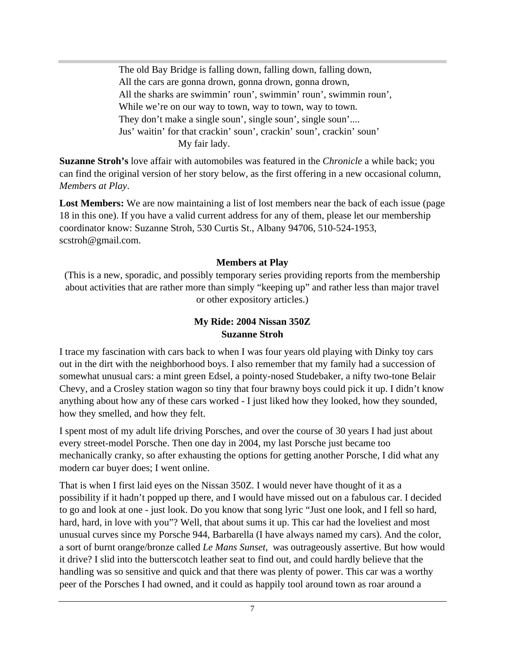The old Bay Bridge is falling down, falling down, falling down, All the cars are gonna drown, gonna drown, gonna drown, All the sharks are swimmin' roun', swimmin' roun', swimmin roun', While we're on our way to town, way to town, way to town. They don't make a single soun', single soun', single soun'.... Jus' waitin' for that crackin' soun', crackin' soun', crackin' soun' My fair lady.

**Suzanne Stroh's** love affair with automobiles was featured in the *Chronicle* a while back; you can find the original version of her story below, as the first offering in a new occasional column, *Members at Play*.

Lost Members: We are now maintaining a list of lost members near the back of each issue (page 18 in this one). If you have a valid current address for any of them, please let our membership coordinator know: Suzanne Stroh, 530 Curtis St., Albany 94706, 510-524-1953, scstroh@gmail.com.

## **Members at Play**

(This is a new, sporadic, and possibly temporary series providing reports from the membership about activities that are rather more than simply "keeping up" and rather less than major travel or other expository articles.)

## **My Ride: 2004 Nissan 350Z Suzanne Stroh**

I trace my fascination with cars back to when I was four years old playing with Dinky toy cars out in the dirt with the neighborhood boys. I also remember that my family had a succession of somewhat unusual cars: a mint green Edsel, a pointy-nosed Studebaker, a nifty two-tone Belair Chevy, and a Crosley station wagon so tiny that four brawny boys could pick it up. I didn't know anything about how any of these cars worked - I just liked how they looked, how they sounded, how they smelled, and how they felt.

I spent most of my adult life driving Porsches, and over the course of 30 years I had just about every street-model Porsche. Then one day in 2004, my last Porsche just became too mechanically cranky, so after exhausting the options for getting another Porsche, I did what any modern car buyer does; I went online.

That is when I first laid eyes on the Nissan 350Z. I would never have thought of it as a possibility if it hadn't popped up there, and I would have missed out on a fabulous car. I decided to go and look at one - just look. Do you know that song lyric "Just one look, and I fell so hard, hard, hard, in love with you"? Well, that about sums it up. This car had the loveliest and most unusual curves since my Porsche 944, Barbarella (I have always named my cars). And the color, a sort of burnt orange/bronze called *Le Mans Sunset*, was outrageously assertive. But how would it drive? I slid into the butterscotch leather seat to find out, and could hardly believe that the handling was so sensitive and quick and that there was plenty of power. This car was a worthy peer of the Porsches I had owned, and it could as happily tool around town as roar around a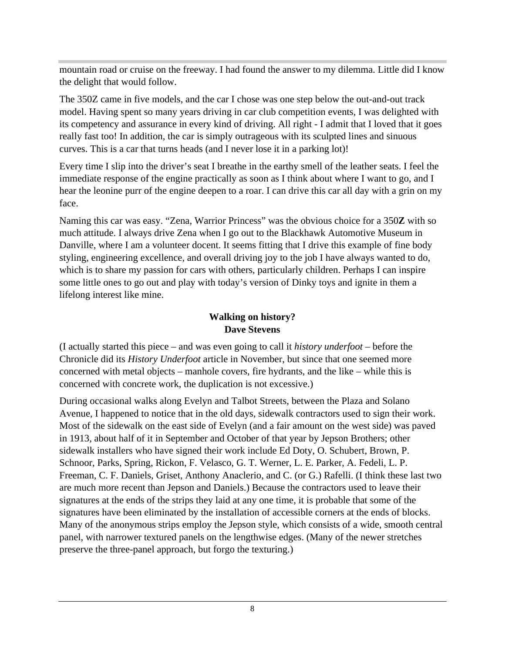mountain road or cruise on the freeway. I had found the answer to my dilemma. Little did I know the delight that would follow.

The 350Z came in five models, and the car I chose was one step below the out-and-out track model. Having spent so many years driving in car club competition events, I was delighted with its competency and assurance in every kind of driving. All right - I admit that I loved that it goes really fast too! In addition, the car is simply outrageous with its sculpted lines and sinuous curves. This is a car that turns heads (and I never lose it in a parking lot)!

Every time I slip into the driver's seat I breathe in the earthy smell of the leather seats. I feel the immediate response of the engine practically as soon as I think about where I want to go, and I hear the leonine purr of the engine deepen to a roar. I can drive this car all day with a grin on my face.

Naming this car was easy. "Zena, Warrior Princess" was the obvious choice for a 350**Z** with so much attitude. I always drive Zena when I go out to the Blackhawk Automotive Museum in Danville, where I am a volunteer docent. It seems fitting that I drive this example of fine body styling, engineering excellence, and overall driving joy to the job I have always wanted to do, which is to share my passion for cars with others, particularly children. Perhaps I can inspire some little ones to go out and play with today's version of Dinky toys and ignite in them a lifelong interest like mine.

## **Walking on history? Dave Stevens**

(I actually started this piece – and was even going to call it *history underfoot* – before the Chronicle did its *History Underfoot* article in November, but since that one seemed more concerned with metal objects – manhole covers, fire hydrants, and the like – while this is concerned with concrete work, the duplication is not excessive.)

During occasional walks along Evelyn and Talbot Streets, between the Plaza and Solano Avenue, I happened to notice that in the old days, sidewalk contractors used to sign their work. Most of the sidewalk on the east side of Evelyn (and a fair amount on the west side) was paved in 1913, about half of it in September and October of that year by Jepson Brothers; other sidewalk installers who have signed their work include Ed Doty, O. Schubert, Brown, P. Schnoor, Parks, Spring, Rickon, F. Velasco, G. T. Werner, L. E. Parker, A. Fedeli, L. P. Freeman, C. F. Daniels, Griset, Anthony Anaclerio, and C. (or G.) Rafelli. (I think these last two are much more recent than Jepson and Daniels.) Because the contractors used to leave their signatures at the ends of the strips they laid at any one time, it is probable that some of the signatures have been eliminated by the installation of accessible corners at the ends of blocks. Many of the anonymous strips employ the Jepson style, which consists of a wide, smooth central panel, with narrower textured panels on the lengthwise edges. (Many of the newer stretches preserve the three-panel approach, but forgo the texturing.)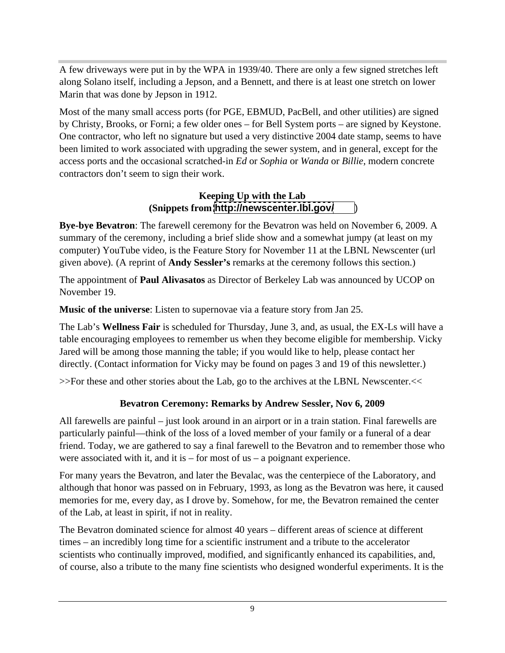A few driveways were put in by the WPA in 1939/40. There are only a few signed stretches left along Solano itself, including a Jepson, and a Bennett, and there is at least one stretch on lower Marin that was done by Jepson in 1912.

Most of the many small access ports (for PGE, EBMUD, PacBell, and other utilities) are signed by Christy, Brooks, or Forni; a few older ones – for Bell System ports – are signed by Keystone. One contractor, who left no signature but used a very distinctive 2004 date stamp, seems to have been limited to work associated with upgrading the sewer system, and in general, except for the access ports and the occasional scratched-in *Ed* or *Sophia* or *Wanda* or *Billie*, modern concrete contractors don't seem to sign their work.

## **Keeping Up with the Lab (Snippets from <http://newscenter.lbl.gov/>** )

**Bye-bye Bevatron**: The farewell ceremony for the Bevatron was held on November 6, 2009. A summary of the ceremony, including a brief slide show and a somewhat jumpy (at least on my computer) YouTube video, is the Feature Story for November 11 at the LBNL Newscenter (url given above). (A reprint of **Andy Sessler's** remarks at the ceremony follows this section.)

The appointment of **Paul Alivasatos** as Director of Berkeley Lab was announced by UCOP on November 19.

**Music of the universe**: Listen to supernovae via a feature story from Jan 25.

The Lab's **Wellness Fair** is scheduled for Thursday, June 3, and, as usual, the EX-Ls will have a table encouraging employees to remember us when they become eligible for membership. Vicky Jared will be among those manning the table; if you would like to help, please contact her directly. (Contact information for Vicky may be found on pages 3 and 19 of this newsletter.)

>>For these and other stories about the Lab, go to the archives at the LBNL Newscenter.<<

## **Bevatron Ceremony: Remarks by Andrew Sessler, Nov 6, 2009**

All farewells are painful – just look around in an airport or in a train station. Final farewells are particularly painful—think of the loss of a loved member of your family or a funeral of a dear friend. Today, we are gathered to say a final farewell to the Bevatron and to remember those who were associated with it, and it is – for most of us – a poignant experience.

For many years the Bevatron, and later the Bevalac, was the centerpiece of the Laboratory, and although that honor was passed on in February, 1993, as long as the Bevatron was here, it caused memories for me, every day, as I drove by. Somehow, for me, the Bevatron remained the center of the Lab, at least in spirit, if not in reality.

The Bevatron dominated science for almost 40 years – different areas of science at different times – an incredibly long time for a scientific instrument and a tribute to the accelerator scientists who continually improved, modified, and significantly enhanced its capabilities, and, of course, also a tribute to the many fine scientists who designed wonderful experiments. It is the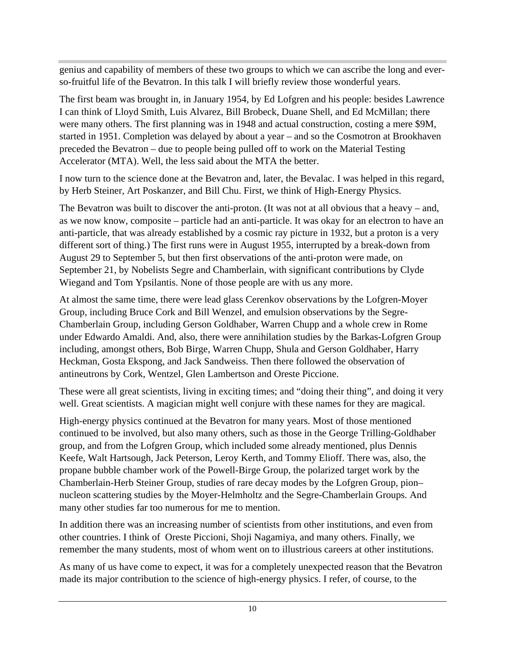genius and capability of members of these two groups to which we can ascribe the long and ever so-fruitful life of the Bevatron. In this talk I will briefly review those wonderful years.

The first beam was brought in, in January 1954, by Ed Lofgren and his people: besides Lawrence I can think of Lloyd Smith, Luis Alvarez, Bill Brobeck, Duane Shell, and Ed McMillan; there were many others. The first planning was in 1948 and actual construction, costing a mere \$9M, started in 1951. Completion was delayed by about a year – and so the Cosmotron at Brookhaven preceded the Bevatron – due to people being pulled off to work on the Material Testing Accelerator (MTA). Well, the less said about the MTA the better.

I now turn to the science done at the Bevatron and, later, the Bevalac. I was helped in this regard, by Herb Steiner, Art Poskanzer, and Bill Chu. First, we think of High-Energy Physics.

The Bevatron was built to discover the anti-proton. (It was not at all obvious that a heavy – and, as we now know, composite – particle had an anti-particle. It was okay for an electron to have an anti-particle, that was already established by a cosmic ray picture in 1932, but a proton is a very different sort of thing.) The first runs were in August 1955, interrupted by a break-down from August 29 to September 5, but then first observations of the anti-proton were made, on September 21, by Nobelists Segre and Chamberlain, with significant contributions by Clyde Wiegand and Tom Ypsilantis. None of those people are with us any more.

At almost the same time, there were lead glass Cerenkov observations by the Lofgren-Moyer Group, including Bruce Cork and Bill Wenzel, and emulsion observations by the Segre- Chamberlain Group, including Gerson Goldhaber, Warren Chupp and a whole crew in Rome under Edwardo Amaldi. And, also, there were annihilation studies by the Barkas-Lofgren Group including, amongst others, Bob Birge, Warren Chupp, Shula and Gerson Goldhaber, Harry Heckman, Gosta Ekspong, and Jack Sandweiss. Then there followed the observation of antineutrons by Cork, Wentzel, Glen Lambertson and Oreste Piccione.

These were all great scientists, living in exciting times; and "doing their thing", and doing it very well. Great scientists. A magician might well conjure with these names for they are magical.

High-energy physics continued at the Bevatron for many years. Most of those mentioned continued to be involved, but also many others, such as those in the George Trilling-Goldhaber group, and from the Lofgren Group, which included some already mentioned, plus Dennis Keefe, Walt Hartsough, Jack Peterson, Leroy Kerth, and Tommy Elioff. There was, also, the propane bubble chamber work of the Powell-Birge Group, the polarized target work by the Chamberlain-Herb Steiner Group, studies of rare decay modes by the Lofgren Group, pion– nucleon scattering studies by the Moyer-Helmholtz and the Segre-Chamberlain Groups. And many other studies far too numerous for me to mention.

In addition there was an increasing number of scientists from other institutions, and even from other countries. I think of Oreste Piccioni, Shoji Nagamiya, and many others. Finally, we remember the many students, most of whom went on to illustrious careers at other institutions.

As many of us have come to expect, it was for a completely unexpected reason that the Bevatron made its major contribution to the science of high-energy physics. I refer, of course, to the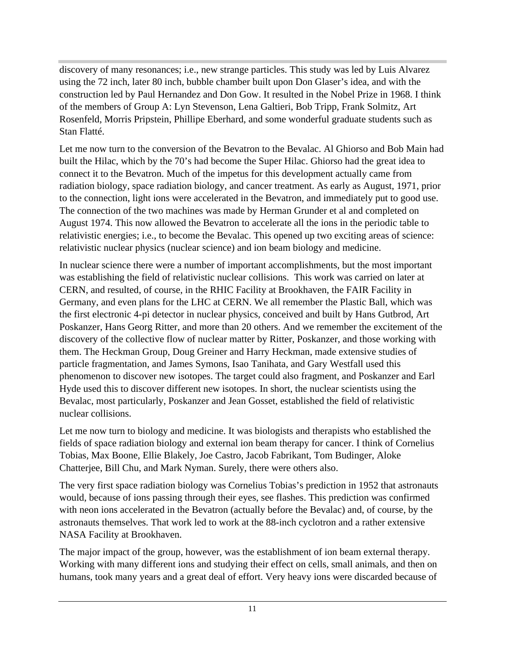discovery of many resonances; i.e., new strange particles. This study was led by Luis Alvarez using the 72 inch, later 80 inch, bubble chamber built upon Don Glaser's idea, and with the construction led by Paul Hernandez and Don Gow. It resulted in the Nobel Prize in 1968. I think of the members of Group A: Lyn Stevenson, Lena Galtieri, Bob Tripp, Frank Solmitz, Art Rosenfeld, Morris Pripstein, Phillipe Eberhard, and some wonderful graduate students such as Stan Flatté.

Let me now turn to the conversion of the Bevatron to the Bevalac. Al Ghiorso and Bob Main had built the Hilac, which by the 70's had become the Super Hilac. Ghiorso had the great idea to connect it to the Bevatron. Much of the impetus for this development actually came from radiation biology, space radiation biology, and cancer treatment. As early as August, 1971, prior to the connection, light ions were accelerated in the Bevatron, and immediately put to good use. The connection of the two machines was made by Herman Grunder et al and completed on August 1974. This now allowed the Bevatron to accelerate all the ions in the periodic table to relativistic energies; i.e., to become the Bevalac. This opened up two exciting areas of science: relativistic nuclear physics (nuclear science) and ion beam biology and medicine.

In nuclear science there were a number of important accomplishments, but the most important was establishing the field of relativistic nuclear collisions. This work was carried on later at CERN, and resulted, of course, in the RHIC Facility at Brookhaven, the FAIR Facility in Germany, and even plans for the LHC at CERN. We all remember the Plastic Ball, which was the first electronic 4-pi detector in nuclear physics, conceived and built by Hans Gutbrod, Art Poskanzer, Hans Georg Ritter, and more than 20 others. And we remember the excitement of the discovery of the collective flow of nuclear matter by Ritter, Poskanzer, and those working with them. The Heckman Group, Doug Greiner and Harry Heckman, made extensive studies of particle fragmentation, and James Symons, Isao Tanihata, and Gary Westfall used this phenomenon to discover new isotopes. The target could also fragment, and Poskanzer and Earl Hyde used this to discover different new isotopes. In short, the nuclear scientists using the Bevalac, most particularly, Poskanzer and Jean Gosset, established the field of relativistic nuclear collisions.

Let me now turn to biology and medicine. It was biologists and therapists who established the fields of space radiation biology and external ion beam therapy for cancer. I think of Cornelius Tobias, Max Boone, Ellie Blakely, Joe Castro, Jacob Fabrikant, Tom Budinger, Aloke Chatterjee, Bill Chu, and Mark Nyman. Surely, there were others also.

The very first space radiation biology was Cornelius Tobias's prediction in 1952 that astronauts would, because of ions passing through their eyes, see flashes. This prediction was confirmed with neon ions accelerated in the Bevatron (actually before the Bevalac) and, of course, by the astronauts themselves. That work led to work at the 88-inch cyclotron and a rather extensive NASA Facility at Brookhaven.

The major impact of the group, however, was the establishment of ion beam external therapy. Working with many different ions and studying their effect on cells, small animals, and then on humans, took many years and a great deal of effort. Very heavy ions were discarded because of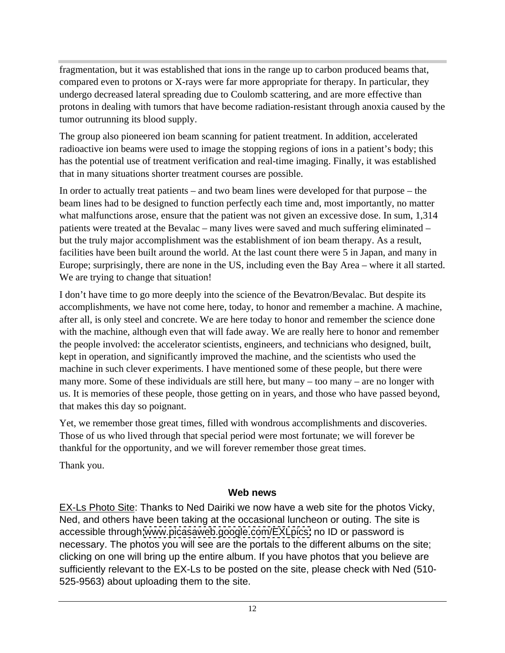fragmentation, but it was established that ions in the range up to carbon produced beams that, compared even to protons or X-rays were far more appropriate for therapy. In particular, they undergo decreased lateral spreading due to Coulomb scattering, and are more effective than protons in dealing with tumors that have become radiation-resistant through anoxia caused by the tumor outrunning its blood supply.

The group also pioneered ion beam scanning for patient treatment. In addition, accelerated radioactive ion beams were used to image the stopping regions of ions in a patient's body; this has the potential use of treatment verification and real-time imaging. Finally, it was established that in many situations shorter treatment courses are possible.

In order to actually treat patients – and two beam lines were developed for that purpose – the beam lines had to be designed to function perfectly each time and, most importantly, no matter what malfunctions arose, ensure that the patient was not given an excessive dose. In sum, 1,314 patients were treated at the Bevalac – many lives were saved and much suffering eliminated – but the truly major accomplishment was the establishment of ion beam therapy. As a result, facilities have been built around the world. At the last count there were 5 in Japan, and many in Europe; surprisingly, there are none in the US, including even the Bay Area – where it all started. We are trying to change that situation!

I don't have time to go more deeply into the science of the Bevatron/Bevalac. But despite its accomplishments, we have not come here, today, to honor and remember a machine. A machine, after all, is only steel and concrete. We are here today to honor and remember the science done with the machine, although even that will fade away. We are really here to honor and remember the people involved: the accelerator scientists, engineers, and technicians who designed, built, kept in operation, and significantly improved the machine, and the scientists who used the machine in such clever experiments. I have mentioned some of these people, but there were many more. Some of these individuals are still here, but many – too many – are no longer with us. It is memories of these people, those getting on in years, and those who have passed beyond, that makes this day so poignant.

Yet, we remember those great times, filled with wondrous accomplishments and discoveries. Those of us who lived through that special period were most fortunate; we will forever be thankful for the opportunity, and we will forever remember those great times.

Thank you.

## **Web news**

EX-Ls Photo Site: Thanks to Ned Dairiki we now have a web site for the photos Vicky, Ned, and others have been taking at the occasional luncheon or outing. The site is accessible through [www.picasaweb.google.com/EXLpics;](http://www.picasaweb.google.com/EXLpics;) no ID or password is necessary. The photos you will see are the portals to the different albums on the site; clicking on one will bring up the entire album. If you have photos that you believe are sufficiently relevant to the EX-Ls to be posted on the site, please check with Ned (510- 525-9563) about uploading them to the site.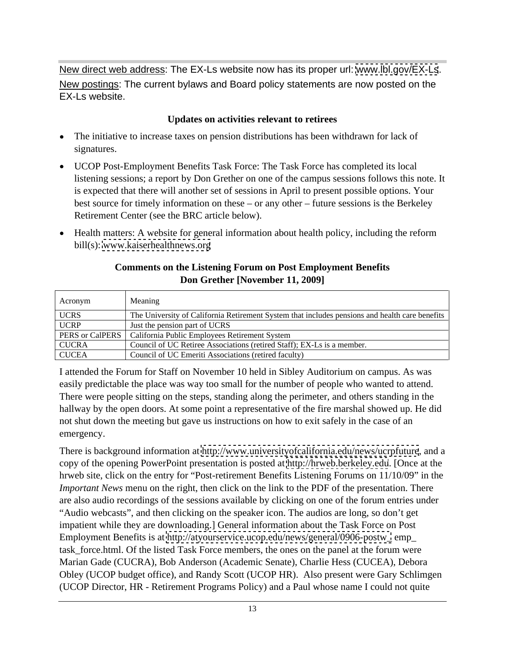New direct web address: The EX-Ls website now has its proper url: [www.lbl.gov/EX-Ls](http://www.lbl.gov/EX-Ls). New postings: The current bylaws and Board policy statements are now posted on the EX-Ls website.

#### **Updates on activities relevant to retirees**

- The initiative to increase taxes on pension distributions has been withdrawn for lack of signatures.
- UCOP Post-Employment Benefits Task Force: The Task Force has completed its local listening sessions; a report by Don Grether on one of the campus sessions follows this note. It is expected that there will another set of sessions in April to present possible options. Your best source for timely information on these – or any other – future sessions is the Berkeley Retirement Center (see the BRC article below).
- Health matters: A website for general information about health policy, including the reform bill(s): [www.kaiserhealthnews.org](http://www.kaiserhealthnews.org)

#### **Comments on the Listening Forum on Post Employment Benefits Don Grether [November 11, 2009]**

| Acronym      | Meanir                                                                                         |
|--------------|------------------------------------------------------------------------------------------------|
| <b>UCRS</b>  | The University of California Retirement System that includes pensions and health care benefits |
| UCRP         | Just the pension part of UCRS                                                                  |
|              | PERS or CalPERS   California Public Employees Retirement System                                |
| <b>CUCRA</b> | Council of UC Retiree Associations (retired Staff); EX-Ls is a member.                         |
| <b>CUCEA</b> | Council of UC Emeriti Associations (retired faculty)                                           |

I attended the Forum for Staff on November 10 held in Sibley Auditorium on campus. As was easily predictable the place was way too small for the number of people who wanted to attend. There were people sitting on the steps, standing along the perimeter, and others standing in the hallway by the open doors. At some point a representative of the fire marshal showed up. He did not shut down the meeting but gave us instructions on how to exit safely in the case of an emergency.

There is background information at<http://www.universityofcalifornia.edu/news/ucrpfuture>, and a copy of the opening PowerPoint presentation is posted at<http://hrweb.berkeley.edu>. [Once at the hrweb site, click on the entry for "Post-retirement Benefits Listening Forums on 11/10/09" in the *Important News* menu on the right, then click on the link to the PDF of the presentation. There are also audio recordings of the sessions available by clicking on one of the forum entries under "Audio webcasts", and then clicking on the speaker icon. The audios are long, so don't get impatient while they are downloading.] General information about the Task Force on Post Employment Benefits is at [http://atyourservice.ucop.edu/news/general/0906-postw\\_](http://atyourservice.ucop.edu/news/general/0906-postw_) emp\_ task force.html. Of the listed Task Force members, the ones on the panel at the forum were Marian Gade (CUCRA), Bob Anderson (Academic Senate), Charlie Hess (CUCEA), Debora Obley (UCOP budget office), and Randy Scott (UCOP HR). Also present were Gary Schlimgen (UCOP Director, HR - Retirement Programs Policy) and a Paul whose name I could not quite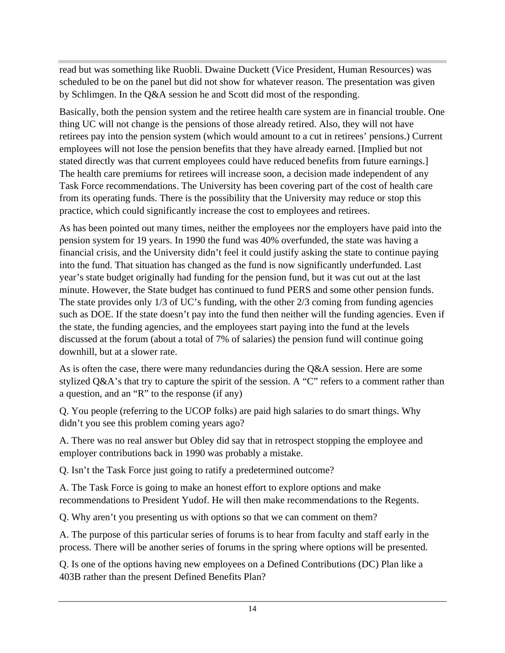read but was something like Ruobli. Dwaine Duckett (Vice President, Human Resources) was scheduled to be on the panel but did not show for whatever reason. The presentation was given by Schlimgen. In the Q&A session he and Scott did most of the responding.

Basically, both the pension system and the retiree health care system are in financial trouble. One thing UC will not change is the pensions of those already retired. Also, they will not have retirees pay into the pension system (which would amount to a cut in retirees' pensions.) Current employees will not lose the pension benefits that they have already earned. [Implied but not stated directly was that current employees could have reduced benefits from future earnings.] The health care premiums for retirees will increase soon, a decision made independent of any Task Force recommendations. The University has been covering part of the cost of health care from its operating funds. There is the possibility that the University may reduce or stop this practice, which could significantly increase the cost to employees and retirees.

As has been pointed out many times, neither the employees nor the employers have paid into the pension system for 19 years. In 1990 the fund was 40% overfunded, the state was having a financial crisis, and the University didn't feel it could justify asking the state to continue paying into the fund. That situation has changed as the fund is now significantly underfunded. Last year's state budget originally had funding for the pension fund, but it was cut out at the last minute. However, the State budget has continued to fund PERS and some other pension funds. The state provides only 1/3 of UC's funding, with the other 2/3 coming from funding agencies such as DOE. If the state doesn't pay into the fund then neither will the funding agencies. Even if the state, the funding agencies, and the employees start paying into the fund at the levels discussed at the forum (about a total of 7% of salaries) the pension fund will continue going downhill, but at a slower rate.

As is often the case, there were many redundancies during the Q&A session. Here are some stylized Q&A's that try to capture the spirit of the session. A "C" refers to a comment rather than a question, and an "R" to the response (if any)

Q. You people (referring to the UCOP folks) are paid high salaries to do smart things. Why didn't you see this problem coming years ago?

A. There was no real answer but Obley did say that in retrospect stopping the employee and employer contributions back in 1990 was probably a mistake.

Q. Isn't the Task Force just going to ratify a predetermined outcome?

A. The Task Force is going to make an honest effort to explore options and make recommendations to President Yudof. He will then make recommendations to the Regents.

Q. Why aren't you presenting us with options so that we can comment on them?

A. The purpose of this particular series of forums is to hear from faculty and staff early in the process. There will be another series of forums in the spring where options will be presented.

Q. Is one of the options having new employees on a Defined Contributions (DC) Plan like a 403B rather than the present Defined Benefits Plan?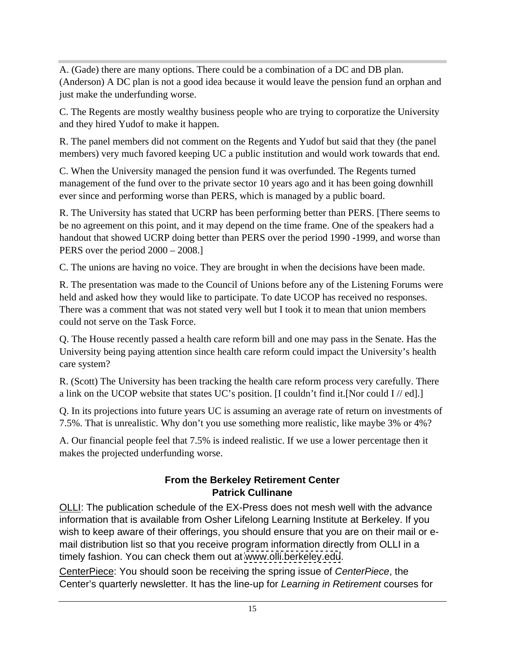A. (Gade) there are many options. There could be a combination of a DC and DB plan. (Anderson) A DC plan is not a good idea because it would leave the pension fund an orphan and just make the underfunding worse.

C. The Regents are mostly wealthy business people who are trying to corporatize the University and they hired Yudof to make it happen.

R. The panel members did not comment on the Regents and Yudof but said that they (the panel members) very much favored keeping UC a public institution and would work towards that end.

C. When the University managed the pension fund it was overfunded. The Regents turned management of the fund over to the private sector 10 years ago and it has been going downhill ever since and performing worse than PERS, which is managed by a public board.

R. The University has stated that UCRP has been performing better than PERS. [There seems to be no agreement on this point, and it may depend on the time frame. One of the speakers had a handout that showed UCRP doing better than PERS over the period 1990 -1999, and worse than PERS over the period  $2000 - 2008$ .]

C. The unions are having no voice. They are brought in when the decisions have been made.

R. The presentation was made to the Council of Unions before any of the Listening Forums were held and asked how they would like to participate. To date UCOP has received no responses. There was a comment that was not stated very well but I took it to mean that union members could not serve on the Task Force.

Q. The House recently passed a health care reform bill and one may pass in the Senate. Has the University being paying attention since health care reform could impact the University's health care system?

R. (Scott) The University has been tracking the health care reform process very carefully. There a link on the UCOP website that states UC's position. [I couldn't find it.[Nor could I // ed].]

Q. In its projections into future years UC is assuming an average rate of return on investments of 7.5%. That is unrealistic. Why don't you use something more realistic, like maybe 3% or 4%?

A. Our financial people feel that 7.5% is indeed realistic. If we use a lower percentage then it makes the projected underfunding worse.

## **From the Berkeley Retirement Center Patrick Cullinane**

OLLI: The publication schedule of the EX-Press does not mesh well with the advance information that is available from Osher Lifelong Learning Institute at Berkeley. If you wish to keep aware of their offerings, you should ensure that you are on their mail or e mail distribution list so that you receive program information directly from OLLI in a timely fashion. You can check them out at [www.olli.berkeley.edu](http://www.olli.berkeley.edu).

CenterPiece: You should soon be receiving the spring issue of CenterPiece, the Center's quarterly newsletter. It has the line-up for Learning in Retirement courses for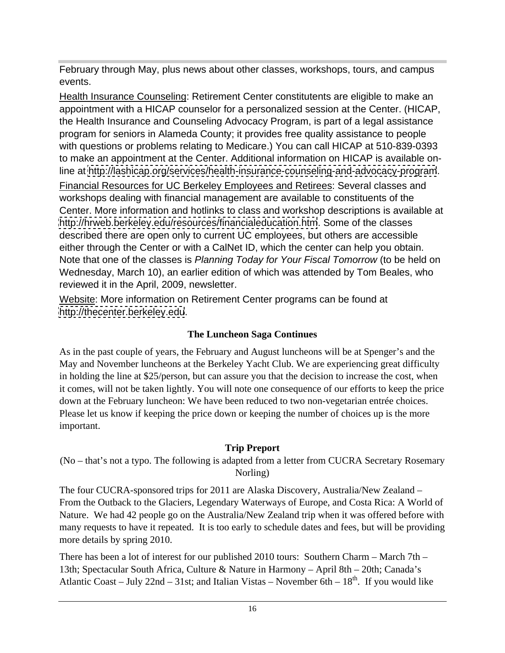February through May, plus news about other classes, workshops, tours, and campus events.

Health Insurance Counseling: Retirement Center constitutents are eligible to make an appointment with a HICAP counselor for a personalized session at the Center. (HICAP, the Health Insurance and Counseling Advocacy Program, is part of a legal assistance program for seniors in Alameda County; it provides free quality assistance to people with questions or problems relating to Medicare.) You can call HICAP at 510-839-0393 to make an appointment at the Center. Additional information on HICAP is available online at<http://lashicap.org/services/health-insurance-counseling-and-advocacy-program>.

Financial Resources for UC Berkeley Employees and Retirees: Several classes and workshops dealing with financial management are available to constituents of the Center. More information and hotlinks to class and workshop descriptions is available at <http://hrweb.berkeley.edu/resources/financialeducation.htm>. Some of the classes described there are open only to current UC employees, but others are accessible either through the Center or with a CalNet ID, which the center can help you obtain. Note that one of the classes is Planning Today for Your Fiscal Tomorrow (to be held on Wednesday, March 10), an earlier edition of which was attended by Tom Beales, who reviewed it in the April, 2009, newsletter.

Website: More information on Retirement Center programs can be found at <http://thecenter.berkeley.edu>.

## **The Luncheon Saga Continues**

As in the past couple of years, the February and August luncheons will be at Spenger's and the May and November luncheons at the Berkeley Yacht Club. We are experiencing great difficulty in holding the line at \$25/person, but can assure you that the decision to increase the cost, when it comes, will not be taken lightly. You will note one consequence of our efforts to keep the price down at the February luncheon: We have been reduced to two non-vegetarian entrée choices. Please let us know if keeping the price down or keeping the number of choices up is the more important.

## **Trip Preport**

(No – that's not a typo. The following is adapted from a letter from CUCRA Secretary Rosemary Norling)

The four CUCRA-sponsored trips for 2011 are Alaska Discovery, Australia/New Zealand – From the Outback to the Glaciers, Legendary Waterways of Europe, and Costa Rica: A World of Nature. We had 42 people go on the Australia/New Zealand trip when it was offered before with many requests to have it repeated. It is too early to schedule dates and fees, but will be providing more details by spring 2010.

There has been a lot of interest for our published 2010 tours: Southern Charm – March 7th – 13th; Spectacular South Africa, Culture & Nature in Harmony – April 8th – 20th; Canada's Atlantic Coast – July 22nd – 31st; and Italian Vistas – November 6th –  $18<sup>th</sup>$ . If you would like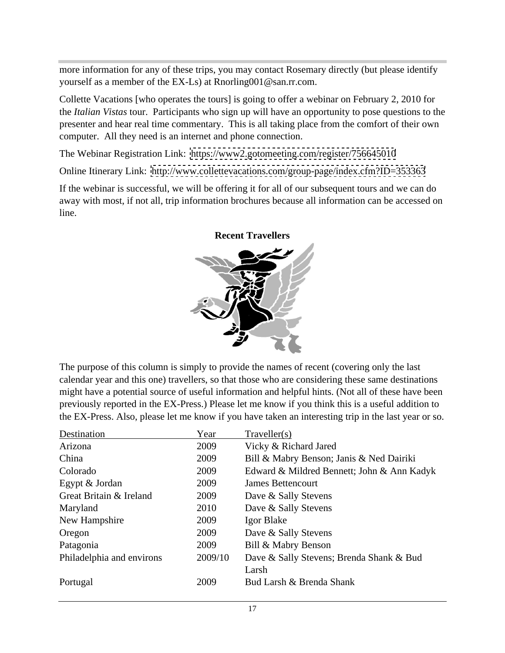more information for any of these trips, you may contact Rosemary directly (but please identify yourself as a member of the EX-Ls) at Rnorling001@san.rr.com.

Collette Vacations [who operates the tours] is going to offer a webinar on February 2, 2010 for the *Italian Vistas* tour. Participants who sign up will have an opportunity to pose questions to the presenter and hear real time commentary. This is all taking place from the comfort of their own computer. All they need is an internet and phone connection.

The Webinar Registration Link: <https://www2.gotomeeting.com/register/756645010>

Online Itinerary Link: <http://www.collettevacations.com/group-page/index.cfm?ID=353363>

If the webinar is successful, we will be offering it for all of our subsequent tours and we can do away with most, if not all, trip information brochures because all information can be accessed on line.



#### **Recent Travellers**

The purpose of this column is simply to provide the names of recent (covering only the last calendar year and this one) travellers, so that those who are considering these same destinations might have a potential source of useful information and helpful hints. (Not all of these have been previously reported in the EX-Press.) Please let me know if you think this is a useful addition to the EX-Press. Also, please let me know if you have taken an interesting trip in the last year or so.

| Destination               | Year    | Traveller(s)                               |
|---------------------------|---------|--------------------------------------------|
| Arizona                   | 2009    | Vicky & Richard Jared                      |
| China                     | 2009    | Bill & Mabry Benson; Janis & Ned Dairiki   |
| Colorado                  | 2009    | Edward & Mildred Bennett; John & Ann Kadyk |
| Egypt & Jordan            | 2009    | James Bettencourt                          |
| Great Britain & Ireland   | 2009    | Dave & Sally Stevens                       |
| Maryland                  | 2010    | Dave & Sally Stevens                       |
| New Hampshire             | 2009    | Igor Blake                                 |
| Oregon                    | 2009    | Dave & Sally Stevens                       |
| Patagonia                 | 2009    | Bill & Mabry Benson                        |
| Philadelphia and environs | 2009/10 | Dave & Sally Stevens; Brenda Shank & Bud   |
|                           |         | Larsh                                      |
| Portugal                  | 2009    | Bud Larsh & Brenda Shank                   |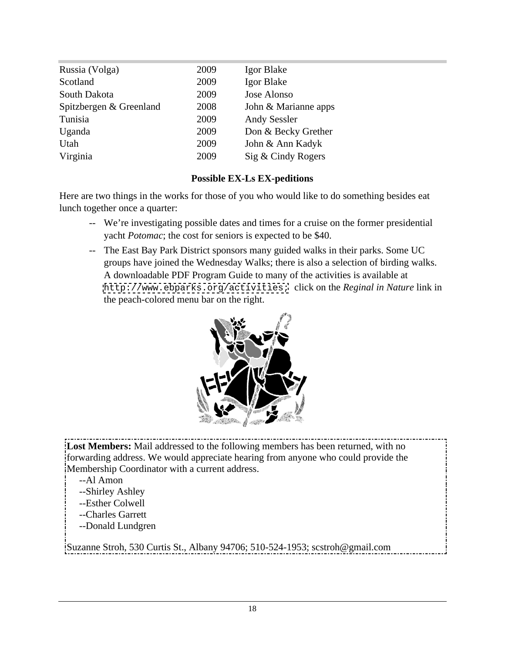| Russia (Volga)          | 2009 | Igor Blake           |
|-------------------------|------|----------------------|
| Scotland                | 2009 | Igor Blake           |
| South Dakota            | 2009 | Jose Alonso          |
| Spitzbergen & Greenland | 2008 | John & Marianne apps |
| Tunisia                 | 2009 | <b>Andy Sessler</b>  |
| Uganda                  | 2009 | Don & Becky Grether  |
| Utah                    | 2009 | John & Ann Kadyk     |
| Virginia                | 2009 | Sig & Cindy Rogers   |

#### **Possible EX-Ls EX-peditions**

Here are two things in the works for those of you who would like to do something besides eat lunch together once a quarter:

- -- We're investigating possible dates and times for a cruise on the former presidential yacht *Potomac*; the cost for seniors is expected to be \$40.
- -- The East Bay Park District sponsors many guided walks in their parks. Some UC groups have joined the Wednesday Walks; there is also a selection of birding walks. A downloadable PDF Program Guide to many of the activities is available at <http://www.ebparks.org/activities;> click on the *Reginal in Nature* link in the peach-colored menu bar on the right.



**Lost Members:** Mail addressed to the following members has been returned, with no forwarding address. We would appreciate hearing from anyone who could provide the Membership Coordinator with a current address.

- --Al Amon
	- --Shirley Ashley
	- --Esther Colwell
	- --Charles Garrett
	- --Donald Lundgren

Suzanne Stroh, 530 Curtis St., Albany 94706; 510-524-1953; scstroh@gmail.com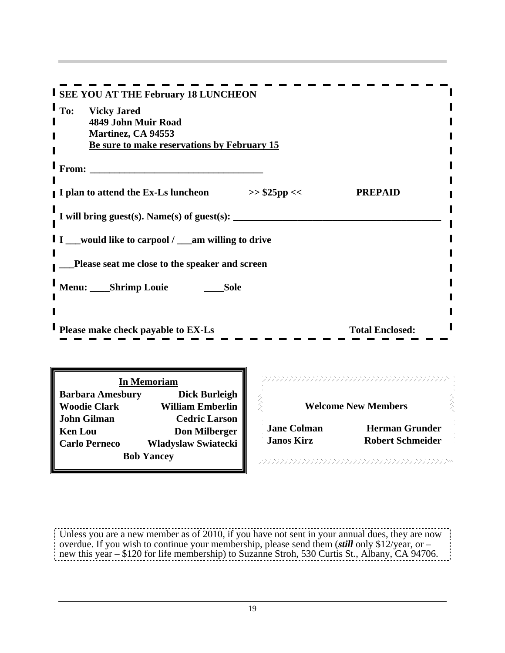| <b>I</b> SEE YOU AT THE February 18 LUNCHEON                      |                            |  |  |
|-------------------------------------------------------------------|----------------------------|--|--|
| <b>I</b> To: Vicky Jared                                          |                            |  |  |
| 4849 John Muir Road                                               |                            |  |  |
| Martinez, CA 94553<br>Be sure to make reservations by February 15 |                            |  |  |
|                                                                   |                            |  |  |
| $\mathsf{I}_{\text{From:}}$                                       |                            |  |  |
|                                                                   |                            |  |  |
| I plan to attend the Ex-Ls luncheon<br>$>>$ \$25pp <<             | <b>PREPAID</b>             |  |  |
|                                                                   |                            |  |  |
| I will bring guest(s). Name(s) of guest(s):                       |                            |  |  |
| I I __would like to carpool / __am willing to drive               |                            |  |  |
|                                                                   |                            |  |  |
| Please seat me close to the speaker and screen                    |                            |  |  |
|                                                                   |                            |  |  |
| Menu: ____Shrimp Louie<br>___Sole                                 |                            |  |  |
|                                                                   |                            |  |  |
|                                                                   |                            |  |  |
| <b>Please make check payable to EX-Ls</b>                         | <b>Total Enclosed:</b>     |  |  |
|                                                                   |                            |  |  |
|                                                                   |                            |  |  |
| <b>In Memoriam</b>                                                |                            |  |  |
| <b>Barbara Amesbury</b><br>Dick Burleigh                          |                            |  |  |
| <b>Woodie Clark</b><br>William Emberlin                           | <b>Welcome New Members</b> |  |  |
| <b>John Gilman</b><br><b>Cedric Larson</b>                        |                            |  |  |
| <b>Jane Colman</b><br><b>Ken Lou</b><br><b>Don Milberger</b>      | <b>Herman Grunder</b>      |  |  |
| <b>Janos Kirz</b><br><b>Carlo Perneco</b><br>Wladyslaw Swiatecki  | <b>Robert Schmeider</b>    |  |  |

Unless you are a new member as of 2010, if you have not sent in your annual dues, they are now overdue. If you wish to continue your membership, please send them (*still* only \$12/year, or – new this year – \$120 for life membership) to Suzanne Stroh, 530 Curtis St., Albany, CA 94706.

**Bob Yancey Expansion of the Community Construction of the Community Community Community Community Community Community Community Community Community Community Community Community Community Community Community Community C**